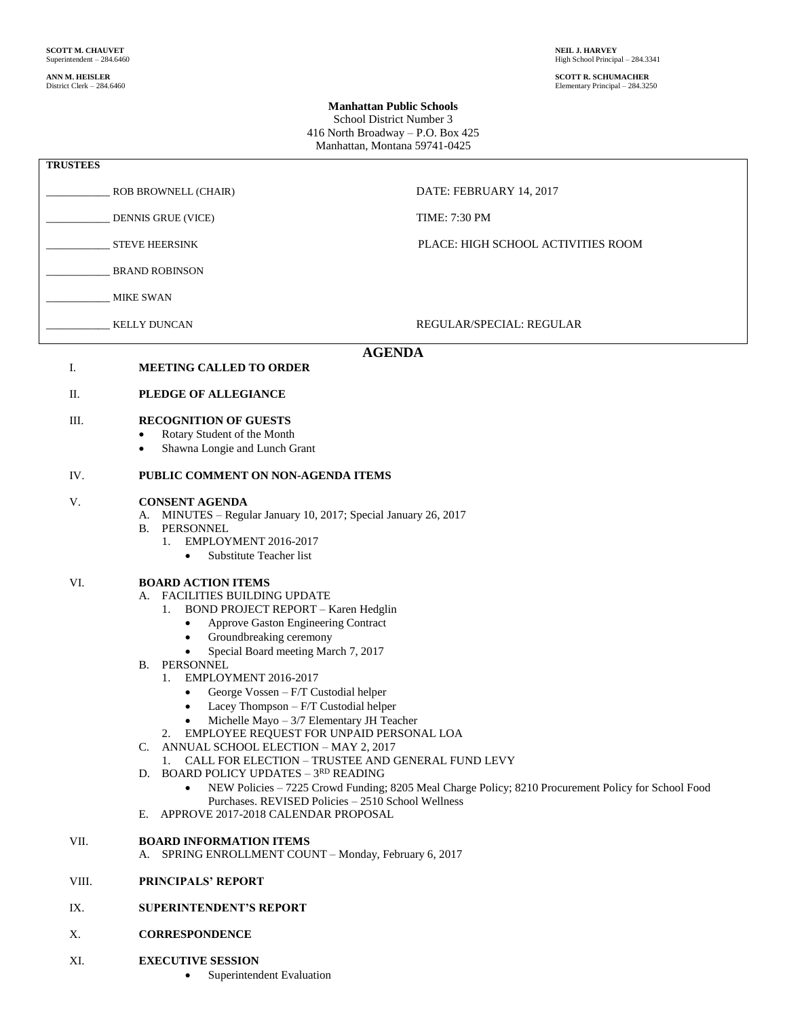**ANN M. HEISLER SCOTT R. SCHUMACHER** District Clerk – 284.6460 Elementary Principal – 284.3250

## **Manhattan Public Schools**

School District Number 3 416 North Broadway – P.O. Box 425 Manhattan, Montana 59741-0425

| <b>TRUSTEES</b>                                       |                                                                                                                                                                                                                                                                                                                                                                                                                                                                                                                                                                                                                                                                                                                                                                                                                                                                                  |                                    |
|-------------------------------------------------------|----------------------------------------------------------------------------------------------------------------------------------------------------------------------------------------------------------------------------------------------------------------------------------------------------------------------------------------------------------------------------------------------------------------------------------------------------------------------------------------------------------------------------------------------------------------------------------------------------------------------------------------------------------------------------------------------------------------------------------------------------------------------------------------------------------------------------------------------------------------------------------|------------------------------------|
|                                                       | ROB BROWNELL (CHAIR)                                                                                                                                                                                                                                                                                                                                                                                                                                                                                                                                                                                                                                                                                                                                                                                                                                                             | DATE: FEBRUARY 14, 2017            |
|                                                       | DENNIS GRUE (VICE)                                                                                                                                                                                                                                                                                                                                                                                                                                                                                                                                                                                                                                                                                                                                                                                                                                                               | <b>TIME: 7:30 PM</b>               |
|                                                       | <b>STEVE HEERSINK</b>                                                                                                                                                                                                                                                                                                                                                                                                                                                                                                                                                                                                                                                                                                                                                                                                                                                            | PLACE: HIGH SCHOOL ACTIVITIES ROOM |
|                                                       | <b>BRAND ROBINSON</b>                                                                                                                                                                                                                                                                                                                                                                                                                                                                                                                                                                                                                                                                                                                                                                                                                                                            |                                    |
|                                                       | <b>MIKE SWAN</b>                                                                                                                                                                                                                                                                                                                                                                                                                                                                                                                                                                                                                                                                                                                                                                                                                                                                 |                                    |
|                                                       | <b>KELLY DUNCAN</b>                                                                                                                                                                                                                                                                                                                                                                                                                                                                                                                                                                                                                                                                                                                                                                                                                                                              | REGULAR/SPECIAL: REGULAR           |
| <b>AGENDA</b><br>Ι.<br><b>MEETING CALLED TO ORDER</b> |                                                                                                                                                                                                                                                                                                                                                                                                                                                                                                                                                                                                                                                                                                                                                                                                                                                                                  |                                    |
| П.                                                    | PLEDGE OF ALLEGIANCE                                                                                                                                                                                                                                                                                                                                                                                                                                                                                                                                                                                                                                                                                                                                                                                                                                                             |                                    |
| Ш.                                                    | <b>RECOGNITION OF GUESTS</b><br>Rotary Student of the Month<br>$\bullet$<br>Shawna Longie and Lunch Grant<br>$\bullet$                                                                                                                                                                                                                                                                                                                                                                                                                                                                                                                                                                                                                                                                                                                                                           |                                    |
| IV.                                                   | PUBLIC COMMENT ON NON-AGENDA ITEMS                                                                                                                                                                                                                                                                                                                                                                                                                                                                                                                                                                                                                                                                                                                                                                                                                                               |                                    |
| V.                                                    | <b>CONSENT AGENDA</b><br>A. MINUTES – Regular January 10, 2017; Special January 26, 2017<br>PERSONNEL<br>В.<br>EMPLOYMENT 2016-2017<br>1.<br>Substitute Teacher list<br>$\bullet$                                                                                                                                                                                                                                                                                                                                                                                                                                                                                                                                                                                                                                                                                                |                                    |
| VI.                                                   | <b>BOARD ACTION ITEMS</b><br><b>FACILITIES BUILDING UPDATE</b><br>А.<br>BOND PROJECT REPORT - Karen Hedglin<br>1.<br>Approve Gaston Engineering Contract<br>$\bullet$<br>Groundbreaking ceremony<br>$\bullet$<br>Special Board meeting March 7, 2017<br>٠<br>PERSONNEL<br>В.<br>EMPLOYMENT 2016-2017<br>1.<br>George Vossen - F/T Custodial helper<br>$\bullet$<br>Lacey Thompson - F/T Custodial helper<br>$\bullet$<br>Michelle Mayo $-3/7$ Elementary JH Teacher<br>٠<br>2. EMPLOYEE REQUEST FOR UNPAID PERSONAL LOA<br>C. ANNUAL SCHOOL ELECTION - MAY 2, 2017<br>CALL FOR ELECTION - TRUSTEE AND GENERAL FUND LEVY<br>1.<br>D. BOARD POLICY UPDATES - 3RD READING<br>NEW Policies - 7225 Crowd Funding; 8205 Meal Charge Policy; 8210 Procurement Policy for School Food<br>Purchases. REVISED Policies - 2510 School Wellness<br>APPROVE 2017-2018 CALENDAR PROPOSAL<br>Е. |                                    |
| VII.                                                  | <b>BOARD INFORMATION ITEMS</b><br>SPRING ENROLLMENT COUNT - Monday, February 6, 2017<br>А.                                                                                                                                                                                                                                                                                                                                                                                                                                                                                                                                                                                                                                                                                                                                                                                       |                                    |
| VIII.                                                 | PRINCIPALS' REPORT                                                                                                                                                                                                                                                                                                                                                                                                                                                                                                                                                                                                                                                                                                                                                                                                                                                               |                                    |
| IX.                                                   | <b>SUPERINTENDENT'S REPORT</b>                                                                                                                                                                                                                                                                                                                                                                                                                                                                                                                                                                                                                                                                                                                                                                                                                                                   |                                    |

- X. **CORRESPONDENCE**
- XI. **EXECUTIVE SESSION** 
	- Superintendent Evaluation